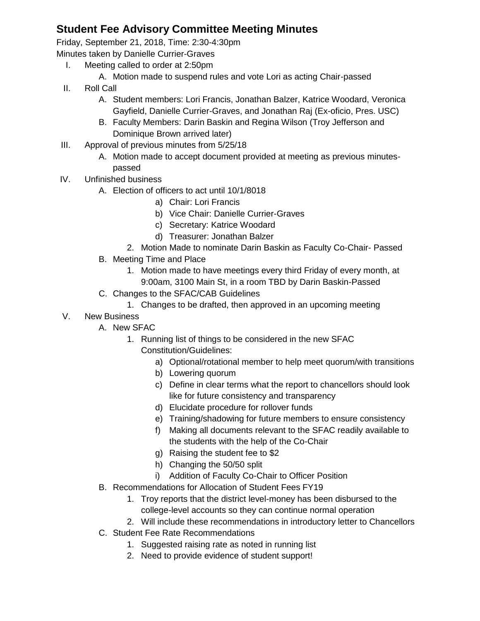## **Student Fee Advisory Committee Meeting Minutes**

Friday, September 21, 2018, Time: 2:30-4:30pm

Minutes taken by Danielle Currier-Graves

- I. Meeting called to order at 2:50pm
	- A. Motion made to suspend rules and vote Lori as acting Chair-passed
- II. Roll Call
	- A. Student members: Lori Francis, Jonathan Balzer, Katrice Woodard, Veronica Gayfield, Danielle Currier-Graves, and Jonathan Raj (Ex-oficio, Pres. USC)
	- B. Faculty Members: Darin Baskin and Regina Wilson (Troy Jefferson and Dominique Brown arrived later)
- III. Approval of previous minutes from 5/25/18
	- A. Motion made to accept document provided at meeting as previous minutespassed
- IV. Unfinished business
	- A. Election of officers to act until 10/1/8018
		- a) Chair: Lori Francis
		- b) Vice Chair: Danielle Currier-Graves
		- c) Secretary: Katrice Woodard
		- d) Treasurer: Jonathan Balzer
		- 2. Motion Made to nominate Darin Baskin as Faculty Co-Chair- Passed
	- B. Meeting Time and Place
		- 1. Motion made to have meetings every third Friday of every month, at 9:00am, 3100 Main St, in a room TBD by Darin Baskin-Passed
	- C. Changes to the SFAC/CAB Guidelines
		- 1. Changes to be drafted, then approved in an upcoming meeting
- V. New Business
	- A. New SFAC
		- 1. Running list of things to be considered in the new SFAC Constitution/Guidelines:
			- a) Optional/rotational member to help meet quorum/with transitions
			- b) Lowering quorum
			- c) Define in clear terms what the report to chancellors should look like for future consistency and transparency
			- d) Elucidate procedure for rollover funds
			- e) Training/shadowing for future members to ensure consistency
			- f) Making all documents relevant to the SFAC readily available to the students with the help of the Co-Chair
			- g) Raising the student fee to \$2
			- h) Changing the 50/50 split
			- i) Addition of Faculty Co-Chair to Officer Position
	- B. Recommendations for Allocation of Student Fees FY19
		- 1. Troy reports that the district level-money has been disbursed to the college-level accounts so they can continue normal operation
		- 2. Will include these recommendations in introductory letter to Chancellors
	- C. Student Fee Rate Recommendations
		- 1. Suggested raising rate as noted in running list
		- 2. Need to provide evidence of student support!